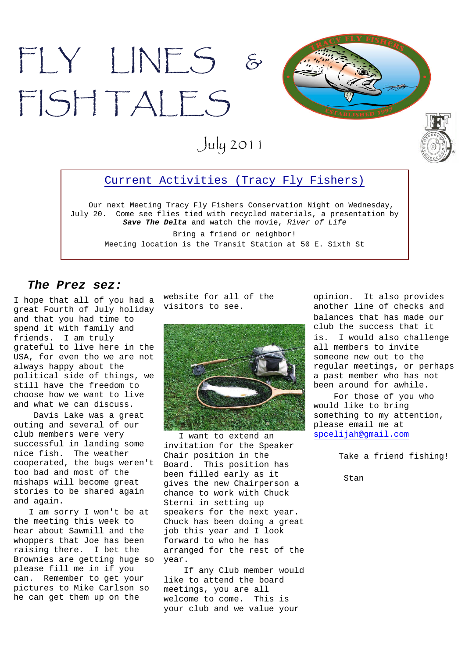



July 2011

### Current Activities (Tracy Fly Fishers)

Our next Meeting Tracy Fly Fishers Conservation Night on Wednesday, July 20. Come see flies tied with recycled materials, a presentation by *Save The Delta* and watch the movie, *River of Life*

Bring a friend or neighbor! Meeting location is the Transit Station at 50 E. Sixth St

#### *The Prez sez:*

I hope that all of you had a great Fourth of July holiday and that you had time to spend it with family and friends. I am truly grateful to live here in the USA, for even tho we are not always happy about the political side of things, we still have the freedom to choose how we want to live and what we can discuss.

Davis Lake was a great outing and several of our club members were very successful in landing some nice fish. The weather cooperated, the bugs weren't too bad and most of the mishaps will become great stories to be shared again and again.

I am sorry I won't be at the meeting this week to hear about Sawmill and the whoppers that Joe has been raising there. I bet the Brownies are getting huge so please fill me in if you can. Remember to get your pictures to Mike Carlson so he can get them up on the

website for all of the visitors to see.



I want to extend an invitation for the Speaker Chair position in the Board. This position has been filled early as it gives the new Chairperson a chance to work with Chuck Sterni in setting up speakers for the next year. Chuck has been doing a great job this year and I look forward to who he has arranged for the rest of the year.

If any Club member would like to attend the board meetings, you are all welcome to come. This is your club and we value your

opinion. It also provides another line of checks and balances that has made our club the success that it is. I would also challenge all members to invite someone new out to the regular meetings, or perhaps a past member who has not been around for awhile.

For those of you who would like to bring something to my attention, please email me at spcelijah@gmail.com

Take a friend fishing!

Stan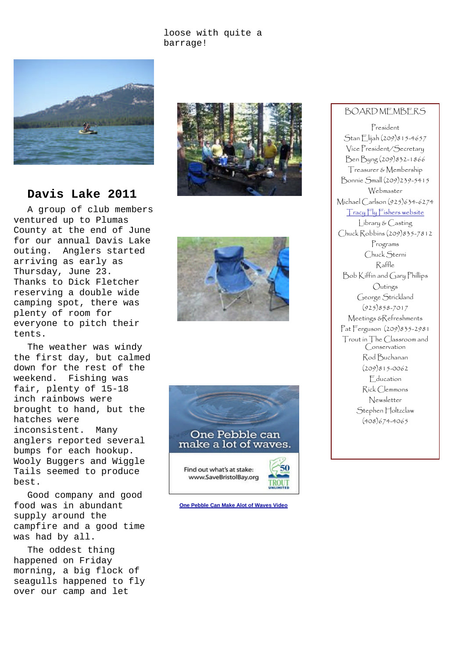#### loose with quite a barrage!



### **Davis Lake 2011**

A group of club members ventured up to Plumas County at the end of June for our annual Davis Lake outing. Anglers started arriving as early as Thursday, June 23. Thanks to Dick Fletcher reserving a double wide camping spot, there was plenty of room for everyone to pitch their tents.

The weather was windy the first day, but calmed down for the rest of the weekend. Fishing was fair, plenty of 15-18 inch rainbows were brought to hand, but the hatches were inconsistent. Many anglers reported several bumps for each hookup. Wooly Buggers and Wiggle Tails seemed to produce best.

Good company and good food was in abundant supply around the campfire and a good time was had by all.

The oddest thing happened on Friday morning, a big flock of seagulls happened to fly over our camp and let







**One Pebble Can Make Alot of Waves Video**

### BOARD MEMBERS

President Stan Elijah (209)815-4657 Vice President/Secretary Ben Byng (209)832-1866 Treasurer & Membership Bonnie Small (209)239-5415 Webmaster Michael Carlson (925)634-6274 Tracy Fly Fishers website Library & Casting Chuck Robbins (209)835-7812 Programs Chuck Sterni Raffle Bob Kiffin and Gary Phillips Outings George Strickland (925)858-7017 Meetings &Refreshments Pat Ferguson (209)835-2981 Trout in The Classroom and Conservation Rod Buchanan (209)815-0062 Education Rick Clemmons Newsletter Stephen Holtzclaw (408)674-4065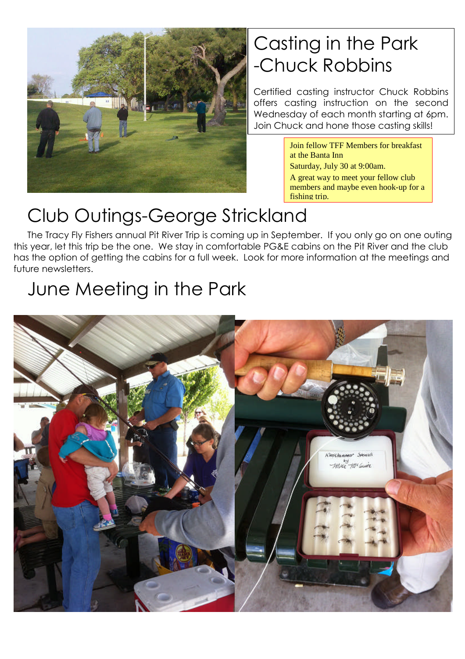

## Casting in the Park -Chuck Robbins

Certified casting instructor Chuck Robbins offers casting instruction on the second Wednesday of each month starting at 6pm. Join Chuck and hone those casting skills!

> Join fellow TFF Members for breakfast at the Banta Inn Saturday, July 30 at 9:00am. A great way to meet your fellow club members and maybe even hook-up for a fishing trip.

## Club Outings-George Strickland

The Tracy Fly Fishers annual Pit River Trip is coming up in September. If you only go on one outing this year, let this trip be the one. We stay in comfortable PG&E cabins on the Pit River and the club has the option of getting the cabins for a full week. Look for more information at the meetings and future newsletters.

# June Meeting in the Park

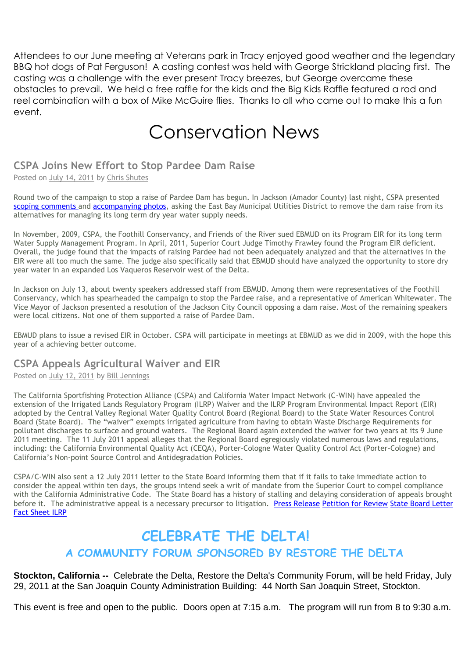Attendees to our June meeting at Veterans park in Tracy enjoyed good weather and the legendary BBQ hot dogs of Pat Ferguson! A casting contest was held with George Strickland placing first. The casting was a challenge with the ever present Tracy breezes, but George overcame these obstacles to prevail. We held a free raffle for the kids and the Big Kids Raffle featured a rod and reel combination with a box of Mike McGuire flies. Thanks to all who came out to make this a fun event.

### Conservation News

### **CSPA Joins New Effort to Stop Pardee Dam Raise**

Posted on July 14, 2011 by Chris Shutes

Round two of the campaign to stop a raise of Pardee Dam has begun. In Jackson (Amador County) last night, CSPA presented scoping comments and accompanying photos, asking the East Bay Municipal Utilities District to remove the dam raise from its alternatives for managing its long term dry year water supply needs.

In November, 2009, CSPA, the Foothill Conservancy, and Friends of the River sued EBMUD on its Program EIR for its long term Water Supply Management Program. In April, 2011, Superior Court Judge Timothy Frawley found the Program EIR deficient. Overall, the judge found that the impacts of raising Pardee had not been adequately analyzed and that the alternatives in the EIR were all too much the same. The judge also specifically said that EBMUD should have analyzed the opportunity to store dry year water in an expanded Los Vaqueros Reservoir west of the Delta.

In Jackson on July 13, about twenty speakers addressed staff from EBMUD. Among them were representatives of the Foothill Conservancy, which has spearheaded the campaign to stop the Pardee raise, and a representative of American Whitewater. The Vice Mayor of Jackson presented a resolution of the Jackson City Council opposing a dam raise. Most of the remaining speakers were local citizens. Not one of them supported a raise of Pardee Dam.

EBMUD plans to issue a revised EIR in October. CSPA will participate in meetings at EBMUD as we did in 2009, with the hope this year of a achieving better outcome.

### **CSPA Appeals Agricultural Waiver and EIR**

Posted on July 12, 2011 by Bill Jennings

The California Sportfishing Protection Alliance (CSPA) and California Water Impact Network (C-WIN) have appealed the extension of the Irrigated Lands Regulatory Program (ILRP) Waiver and the ILRP Program Environmental Impact Report (EIR) adopted by the Central Valley Regional Water Quality Control Board (Regional Board) to the State Water Resources Control Board (State Board). The "waiver" exempts irrigated agriculture from having to obtain Waste Discharge Requirements for pollutant discharges to surface and ground waters. The Regional Board again extended the waiver for two years at its 9 June 2011 meeting. The 11 July 2011 appeal alleges that the Regional Board egregiously violated numerous laws and regulations, including: the California Environmental Quality Act (CEQA), Porter-Cologne Water Quality Control Act (Porter-Cologne) and California's Non-point Source Control and Antidegradation Policies.

CSPA/C-WIN also sent a 12 July 2011 letter to the State Board informing them that if it fails to take immediate action to consider the appeal within ten days, the groups intend seek a writ of mandate from the Superior Court to compel compliance with the California Administrative Code. The State Board has a history of stalling and delaying consideration of appeals brought before it. The administrative appeal is a necessary precursor to litigation. Press Release Petition for Review State Board Letter Fact Sheet ILRP

### **CELEBRATE THE DELTA! A COMMUNITY FORUM SPONSORED BY RESTORE THE DELTA**

**Stockton, California --** Celebrate the Delta, Restore the Delta's Community Forum, will be held Friday, July 29, 2011 at the San Joaquin County Administration Building: 44 North San Joaquin Street, Stockton.

This event is free and open to the public. Doors open at 7:15 a.m. The program will run from 8 to 9:30 a.m.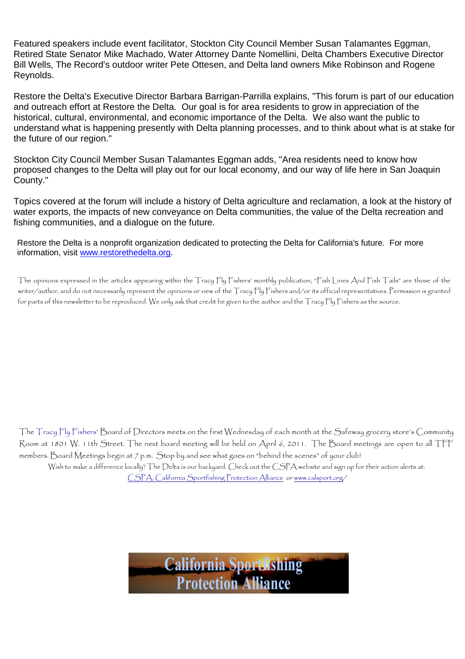Featured speakers include event facilitator, Stockton City Council Member Susan Talamantes Eggman, Retired State Senator Mike Machado, Water Attorney Dante Nomellini, Delta Chambers Executive Director Bill Wells, The Record's outdoor writer Pete Ottesen, and Delta land owners Mike Robinson and Rogene Reynolds.

Restore the Delta's Executive Director Barbara Barrigan-Parrilla explains, "This forum is part of our education and outreach effort at Restore the Delta. Our goal is for area residents to grow in appreciation of the historical, cultural, environmental, and economic importance of the Delta. We also want the public to understand what is happening presently with Delta planning processes, and to think about what is at stake for the future of our region."

Stockton City Council Member Susan Talamantes Eggman adds, "Area residents need to know how proposed changes to the Delta will play out for our local economy, and our way of life here in San Joaquin County."

Topics covered at the forum will include a history of Delta agriculture and reclamation, a look at the history of water exports, the impacts of new conveyance on Delta communities, the value of the Delta recreation and fishing communities, and a dialogue on the future.

Restore the Delta is a nonprofit organization dedicated to protecting the Delta for California's future. For more information, visit www.restorethedelta.org.

The opinions expressed in the articles appearing within the Tracy Fly Fishers' monthly publication, "Fish Lines And Fish Tails" are those of the writer/author, and do not necessarily represent the opinions or view of the Tracy Fly Fishers and/or its official representatives. Permission is granted for parts of this newsletter to be reproduced. We only ask that credit be given to the author and the Tracy Fly Fishers as the source.

The Tracy Fly Fishers' Board of Directors meets on the first Wednesday of each month at the Safeway grocery store's Community Room at 1801 W. 11th Street. The next board meeting will be held on April 6, 2011. The Board meetings are open to all TFF members. Board Meetings begin at 7 p.m. Stop by and see what goes on "behind the scenes" of your club! Wish to make a difference locally? The Delta is our backyard. Check out the CSPA website and sign up for their action alerts at: CSPA, California Sportfishing Protection Alliance or www.calsport.org/